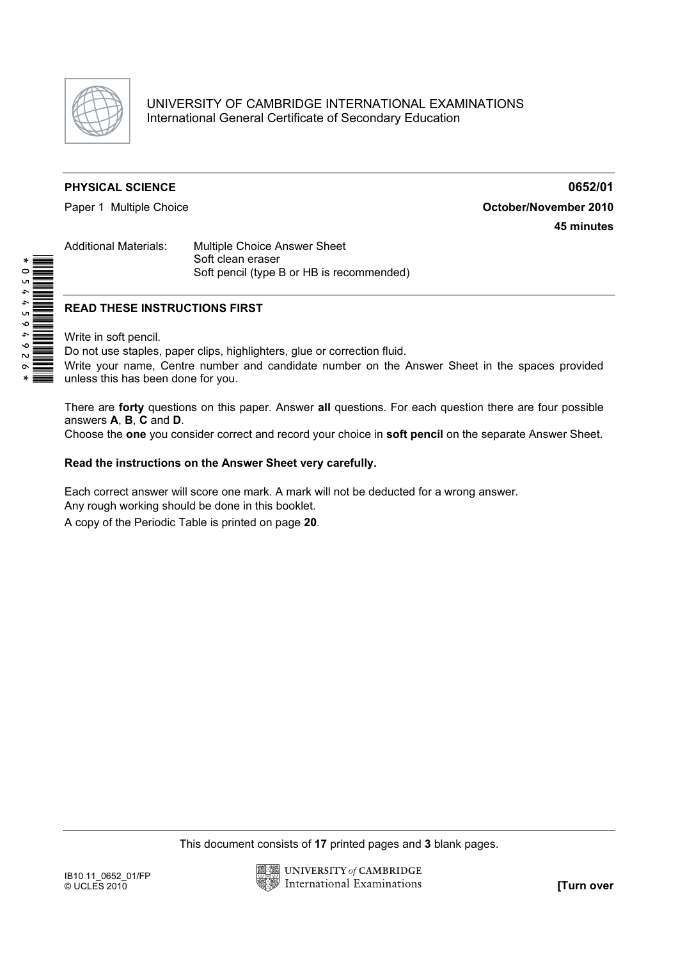

PHYSICAL SCIENCE **DESIGNATION 1999** 0652/01 Paper 1 Multiple Choice **October/November 2010** 45 minutes

Additional Materials: Multiple Choice Answer Sheet Soft clean eraser Soft pencil (type B or HB is recommended)

## READ THESE INSTRUCTIONS FIRST

Write in soft pencil.

Do not use staples, paper clips, highlighters, glue or correction fluid.

Write your name, Centre number and candidate number on the Answer Sheet in the spaces provided unless this has been done for you.

There are forty questions on this paper. Answer all questions. For each question there are four possible answers A, B, C and D.

Choose the one you consider correct and record your choice in soft pencil on the separate Answer Sheet.

## Read the instructions on the Answer Sheet very carefully.

Each correct answer will score one mark. A mark will not be deducted for a wrong answer. Any rough working should be done in this booklet.

A copy of the Periodic Table is printed on page 20.

This document consists of 17 printed pages and 3 blank pages.

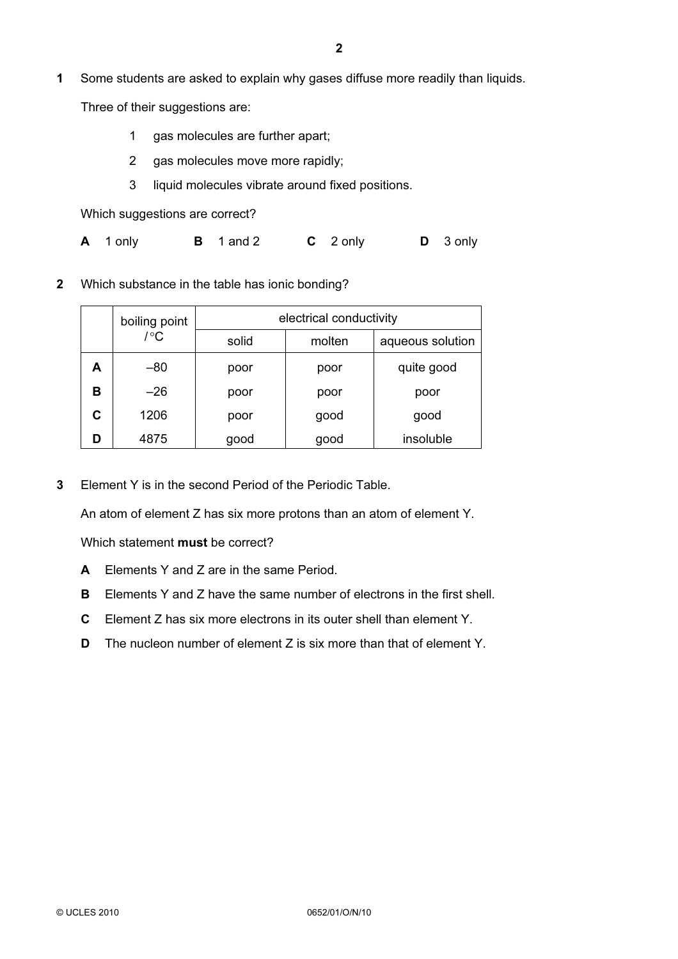1 Some students are asked to explain why gases diffuse more readily than liquids.

Three of their suggestions are:

- 1 gas molecules are further apart;
- 2 gas molecules move more rapidly;
- 3 liquid molecules vibrate around fixed positions.

Which suggestions are correct?

- A 1 only B 1 and 2 C 2 only D 3 only
- 2 Which substance in the table has ionic bonding?

|   | boiling point | electrical conductivity |        |                  |  |
|---|---------------|-------------------------|--------|------------------|--|
|   | /°C           | solid                   | molten | aqueous solution |  |
| А | $-80$         | poor                    | poor   | quite good       |  |
| в | $-26$         | poor                    | poor   | poor             |  |
| С | 1206          | poor                    | good   | good             |  |
| D | 4875          | good                    | good   | insoluble        |  |

3 Element Y is in the second Period of the Periodic Table.

An atom of element Z has six more protons than an atom of element Y.

Which statement must be correct?

- A Elements Y and Z are in the same Period.
- **B** Elements Y and Z have the same number of electrons in the first shell.
- C Element Z has six more electrons in its outer shell than element Y.
- D The nucleon number of element Z is six more than that of element Y.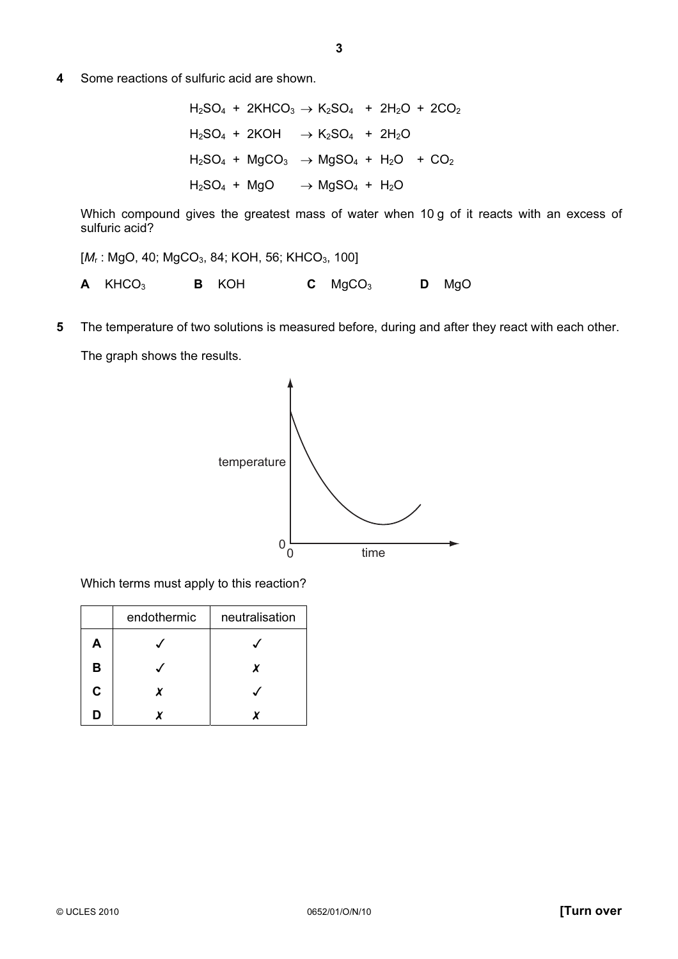$H_2SO_4 + 2KHCO_3 \rightarrow K_2SO_4 + 2H_2O + 2CO_2$  $H_2SO_4 + 2KOH \rightarrow K_2SO_4 + 2H_2O$  $H_2SO_4 + MgCO_3 \rightarrow MgSO_4 + H_2O + CO_2$  $H_2SO_4 + MgO \rightarrow MgSO_4 + H_2O$ 

Which compound gives the greatest mass of water when 10 g of it reacts with an excess of sulfuric acid?

$$
[M_{\text{r}} : \text{MgO}, 40; \text{MgCO}_3, 84; \text{ KOH}, 56; \text{KHCO}_3, 100]
$$
\n**A** KHCO<sub>3</sub>     **B** KOH     **C** MgCO<sub>3</sub>     **D** MgO

5 The temperature of two solutions is measured before, during and after they react with each other.

The graph shows the results.



Which terms must apply to this reaction?

|    | endothermic | neutralisation |
|----|-------------|----------------|
| А  |             |                |
| в  |             | χ              |
| C. |             |                |
| n  |             |                |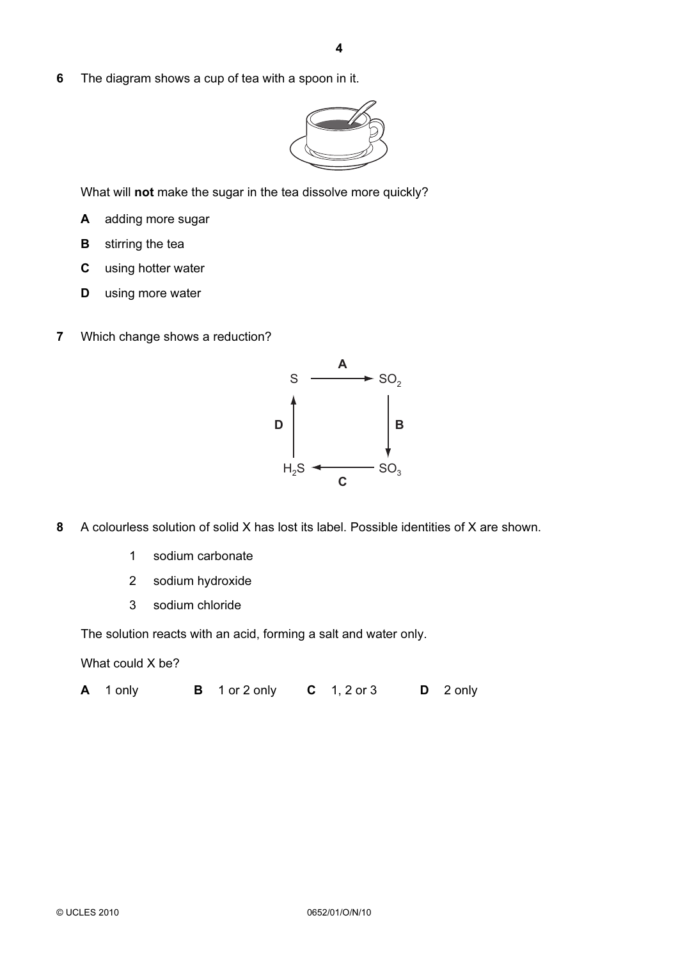6 The diagram shows a cup of tea with a spoon in it.



What will not make the sugar in the tea dissolve more quickly?

- A adding more sugar
- **B** stirring the tea
- C using hotter water
- **D** using more water
- 7 Which change shows a reduction?



- 8 A colourless solution of solid X has lost its label. Possible identities of X are shown.
	- 1 sodium carbonate
	- 2 sodium hydroxide
	- 3 sodium chloride

The solution reacts with an acid, forming a salt and water only.

What could X be?

A 1 only B 1 or 2 only C 1, 2 or 3 D 2 only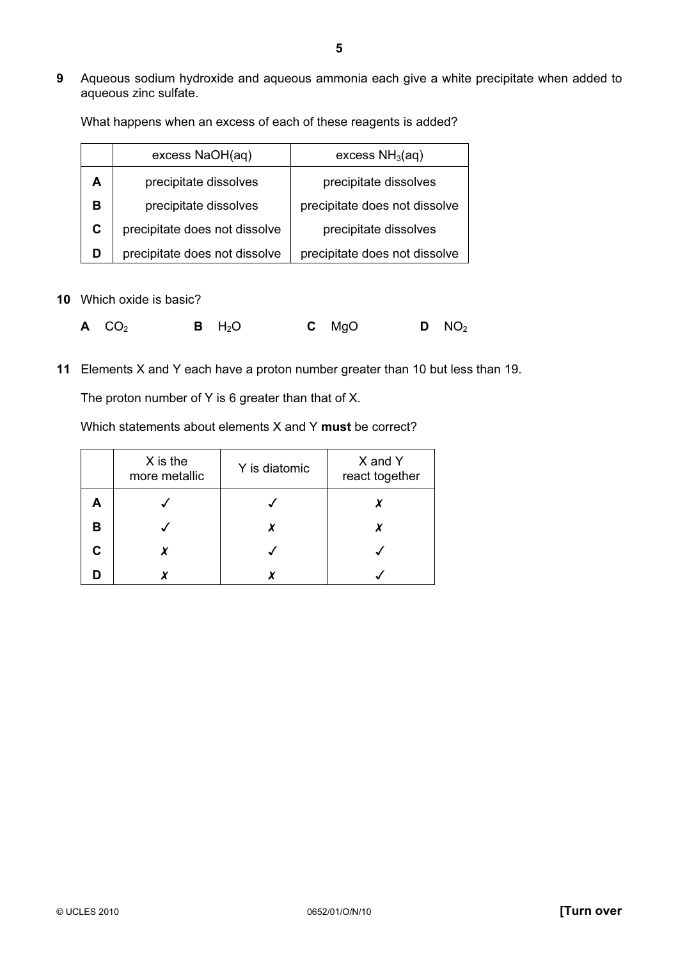9 Aqueous sodium hydroxide and aqueous ammonia each give a white precipitate when added to aqueous zinc sulfate.

What happens when an excess of each of these reagents is added?

|   | excess NaOH(aq)               | excess $NH3(aq)$              |  |
|---|-------------------------------|-------------------------------|--|
| A | precipitate dissolves         | precipitate dissolves         |  |
| в | precipitate dissolves         | precipitate does not dissolve |  |
| C | precipitate does not dissolve | precipitate dissolves         |  |
| D | precipitate does not dissolve | precipitate does not dissolve |  |

10 Which oxide is basic?

| A CO <sub>2</sub> |  |  | $B$ H <sub>2</sub> O |  | $C$ MgO |  | $D$ NO <sub>2</sub> |
|-------------------|--|--|----------------------|--|---------|--|---------------------|
|-------------------|--|--|----------------------|--|---------|--|---------------------|

11 Elements X and Y each have a proton number greater than 10 but less than 19.

The proton number of Y is 6 greater than that of X.

Which statements about elements X and Y must be correct?

|              | X is the<br>more metallic | Y is diatomic | X and Y<br>react together |
|--------------|---------------------------|---------------|---------------------------|
|              |                           |               |                           |
| в            |                           |               |                           |
| $\mathbf{C}$ |                           |               |                           |
|              |                           |               |                           |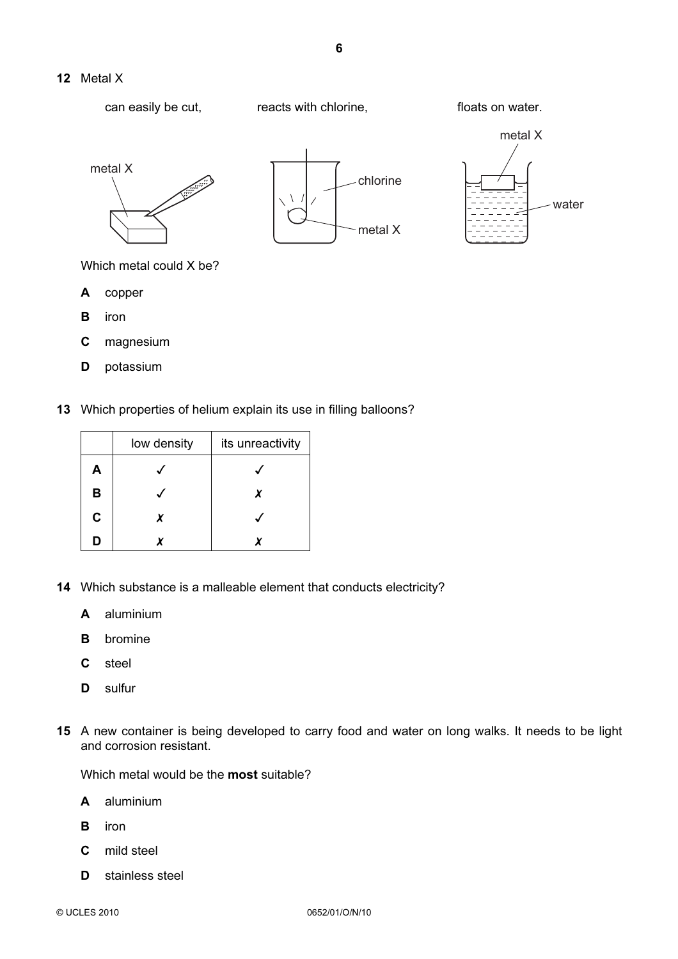# 12 Metal X

can easily be cut, reacts with chlorine, the reacts with chlorine, metal X metal X chlorine  $\setminus$ water metal X Which metal could X be?

- 
- A copper
- B iron
- C magnesium
- D potassium
- 13 Which properties of helium explain its use in filling balloons?

|              | low density | its unreactivity |
|--------------|-------------|------------------|
| Α            |             |                  |
| в            |             | x                |
| C            | x           |                  |
| $\mathbf{O}$ |             |                  |

- 14 Which substance is a malleable element that conducts electricity?
	- A aluminium
	- B bromine
	- C steel
	- D sulfur
- 15 A new container is being developed to carry food and water on long walks. It needs to be light and corrosion resistant.

Which metal would be the **most** suitable?

- A aluminium
- **B** iron
- C mild steel
- D stainless steel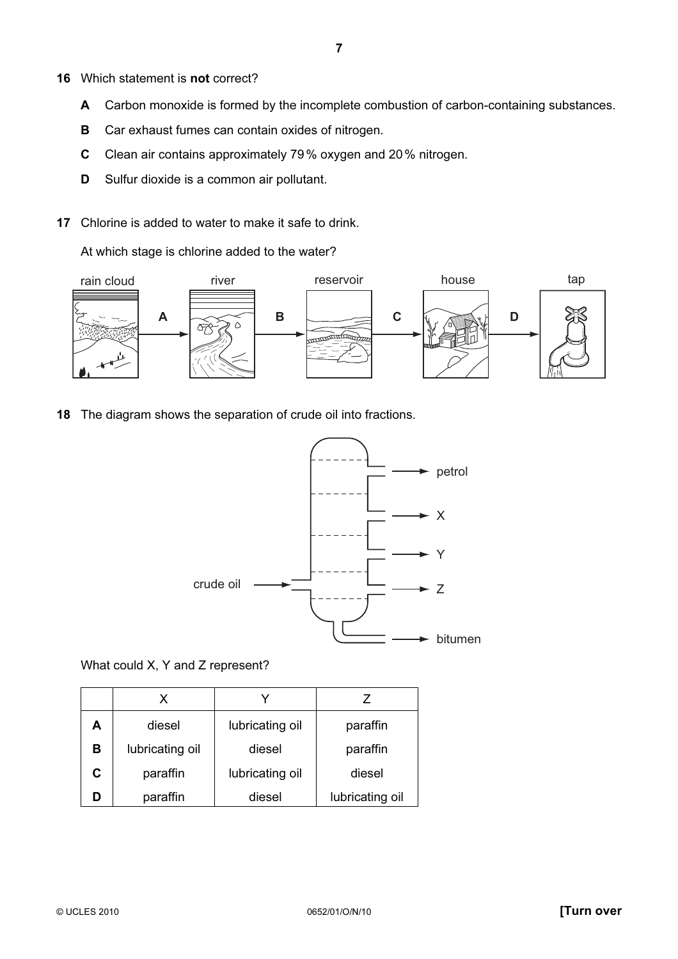- 16 Which statement is not correct?
	- A Carbon monoxide is formed by the incomplete combustion of carbon-containing substances.
	- B Car exhaust fumes can contain oxides of nitrogen.
	- C Clean air contains approximately 79% oxygen and 20% nitrogen.
	- **D** Sulfur dioxide is a common air pollutant.
- 17 Chlorine is added to water to make it safe to drink.

At which stage is chlorine added to the water?



18 The diagram shows the separation of crude oil into fractions.



### What could X, Y and Z represent?

|    | x               |                 |                 |
|----|-----------------|-----------------|-----------------|
| А  | diesel          | lubricating oil | paraffin        |
| в  | lubricating oil | diesel          | paraffin        |
| C. | paraffin        | lubricating oil | diesel          |
| ח  | paraffin        | diesel          | lubricating oil |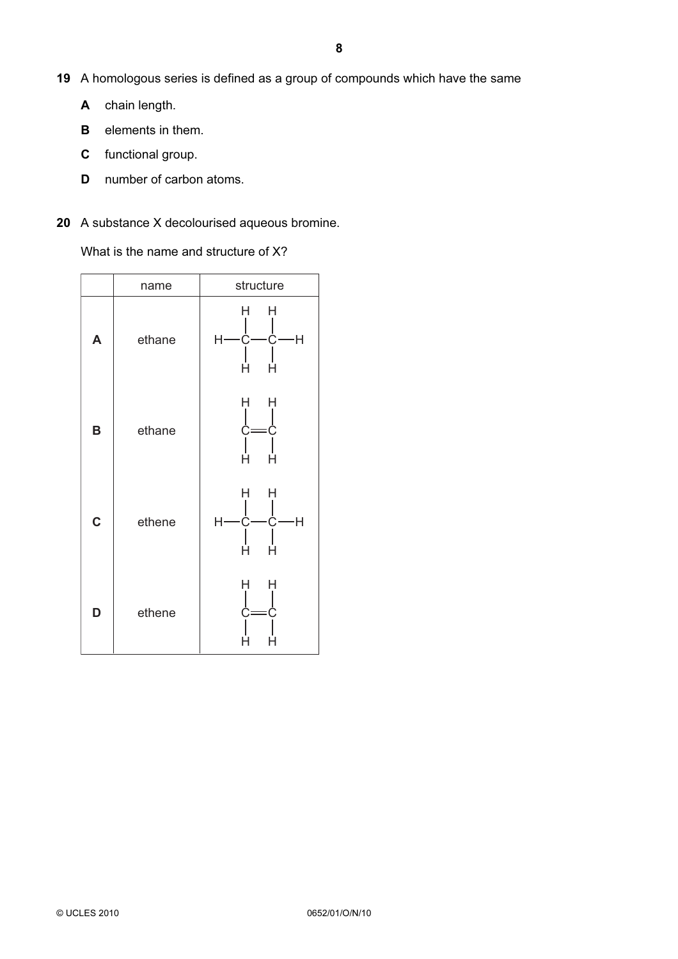- 19 A homologous series is defined as a group of compounds which have the same
	- A chain length.
	- B elements in them.
	- C functional group.
	- **D** number of carbon atoms.
- 20 A substance X decolourised aqueous bromine.

What is the name and structure of X?

|             | name   | structure                                 |
|-------------|--------|-------------------------------------------|
| A           | ethane | н<br>н<br>٠H<br>н-<br>- 1<br>Γ.<br>Н<br>Н |
| B           | ethane | н<br>н<br>=C<br>Н<br>н                    |
| $\mathbf C$ | ethene | н<br>Η<br>٠H<br>Η۰<br>. .<br>Ĥ<br>Н       |
| D           | ethene | н<br>н<br>=೧                              |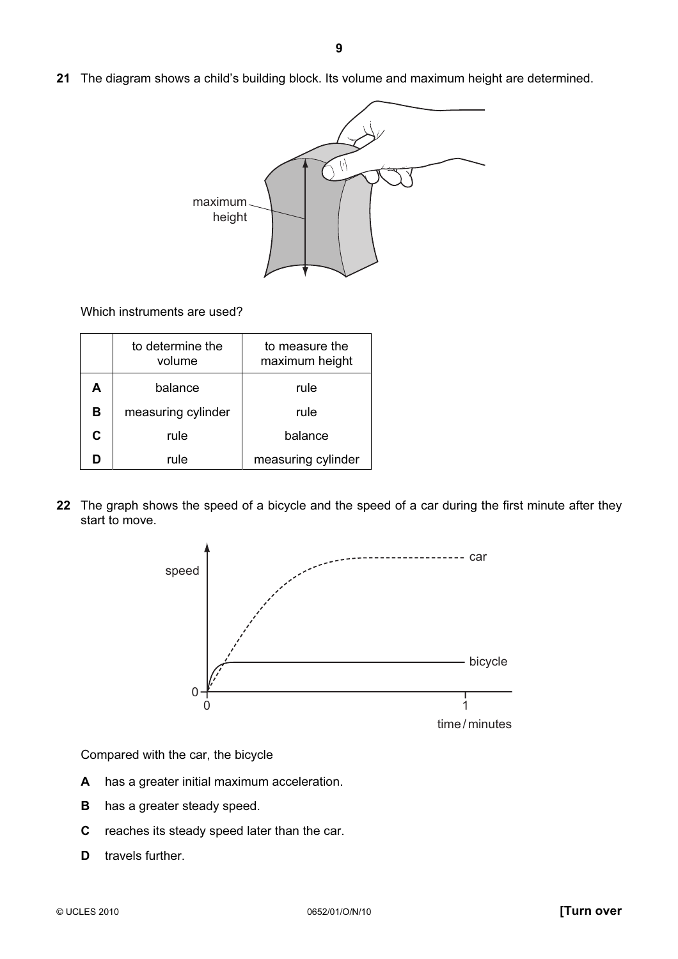21 The diagram shows a child's building block. Its volume and maximum height are determined.



Which instruments are used?

|   | to determine the<br>volume | to measure the<br>maximum height |
|---|----------------------------|----------------------------------|
| А | balance                    | rule                             |
| в | measuring cylinder         | rule                             |
| C | rule                       | balance                          |
|   | rule                       | measuring cylinder               |

22 The graph shows the speed of a bicycle and the speed of a car during the first minute after they start to move.



Compared with the car, the bicycle

- A has a greater initial maximum acceleration.
- **B** has a greater steady speed.
- C reaches its steady speed later than the car.
- D travels further.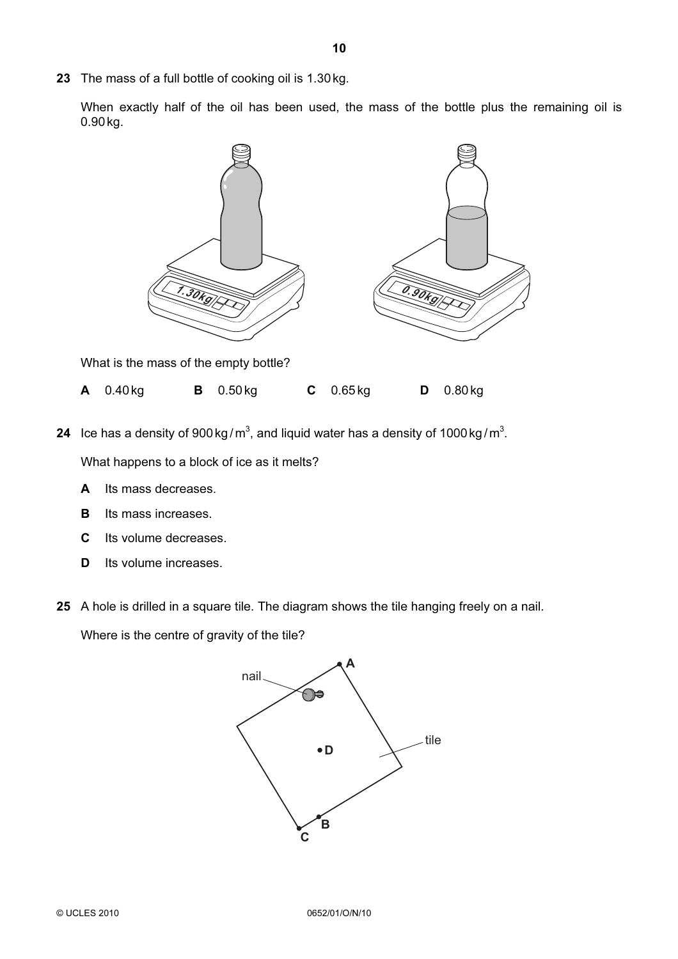23 The mass of a full bottle of cooking oil is 1.30kg.

When exactly half of the oil has been used, the mass of the bottle plus the remaining oil is 0.90kg.



24 Ice has a density of 900 kg/m<sup>3</sup>, and liquid water has a density of 1000 kg/m<sup>3</sup>.

What happens to a block of ice as it melts?

- A Its mass decreases.
- **B** Its mass increases.
- C Its volume decreases.
- **D** Its volume increases.
- 25 A hole is drilled in a square tile. The diagram shows the tile hanging freely on a nail. Where is the centre of gravity of the tile?

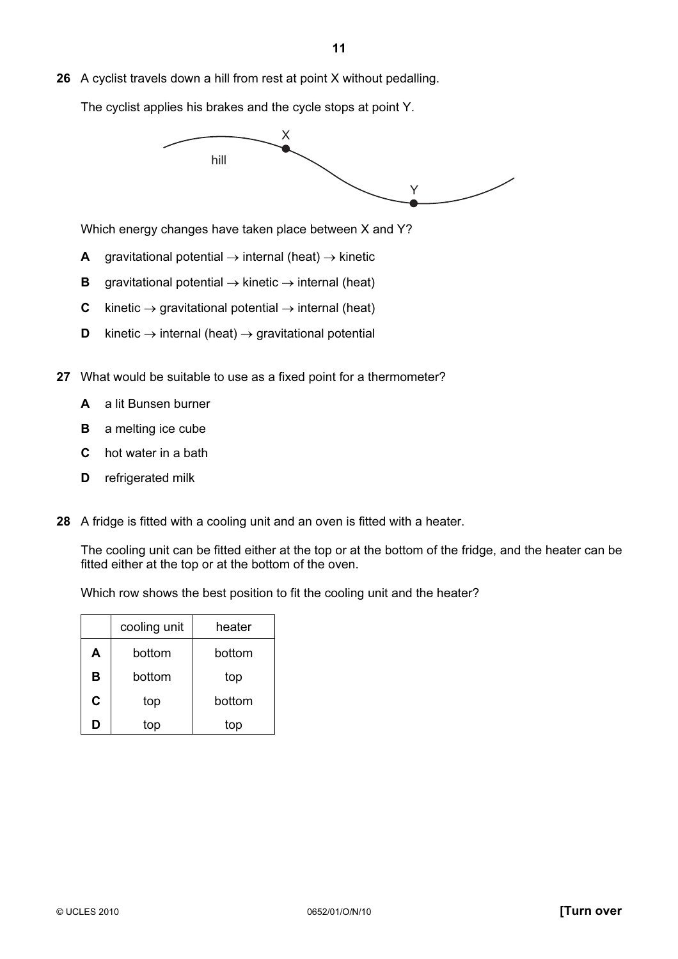The cyclist applies his brakes and the cycle stops at point Y.



11

Which energy changes have taken place between X and Y?

- **A** gravitational potential  $\rightarrow$  internal (heat)  $\rightarrow$  kinetic
- **B** gravitational potential  $\rightarrow$  kinetic  $\rightarrow$  internal (heat)
- **C** kinetic  $\rightarrow$  gravitational potential  $\rightarrow$  internal (heat)
- **D** kinetic  $\rightarrow$  internal (heat)  $\rightarrow$  gravitational potential
- 27 What would be suitable to use as a fixed point for a thermometer?
	- A a lit Bunsen burner
	- **B** a melting ice cube
	- C hot water in a bath
	- D refrigerated milk
- 28 A fridge is fitted with a cooling unit and an oven is fitted with a heater.

The cooling unit can be fitted either at the top or at the bottom of the fridge, and the heater can be fitted either at the top or at the bottom of the oven.

Which row shows the best position to fit the cooling unit and the heater?

|   | cooling unit | heater |
|---|--------------|--------|
| А | bottom       | bottom |
| в | bottom       | top    |
| C | top          | bottom |
|   | top          | top    |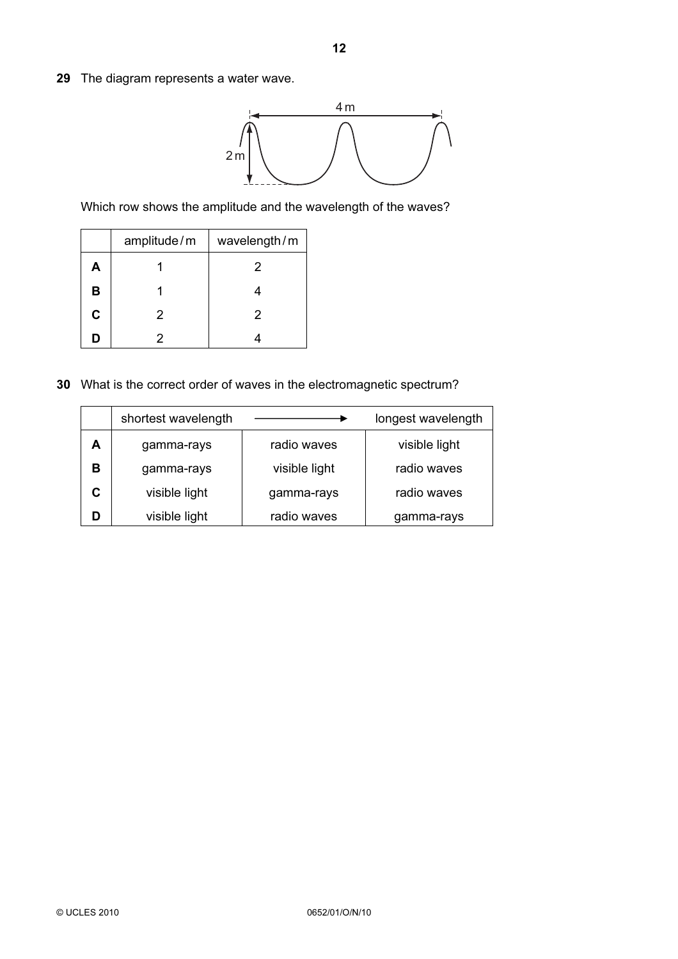29 The diagram represents a water wave.



Which row shows the amplitude and the wavelength of the waves?

|   | amplitude/m | wavelength/m |
|---|-------------|--------------|
| А |             | 2            |
| в |             |              |
| C | 2           | 2            |
|   |             |              |

30 What is the correct order of waves in the electromagnetic spectrum?

|   | shortest wavelength |               | longest wavelength |
|---|---------------------|---------------|--------------------|
| А | gamma-rays          | radio waves   | visible light      |
| в | gamma-rays          | visible light | radio waves        |
| C | visible light       | gamma-rays    | radio waves        |
| D | visible light       | radio waves   | gamma-rays         |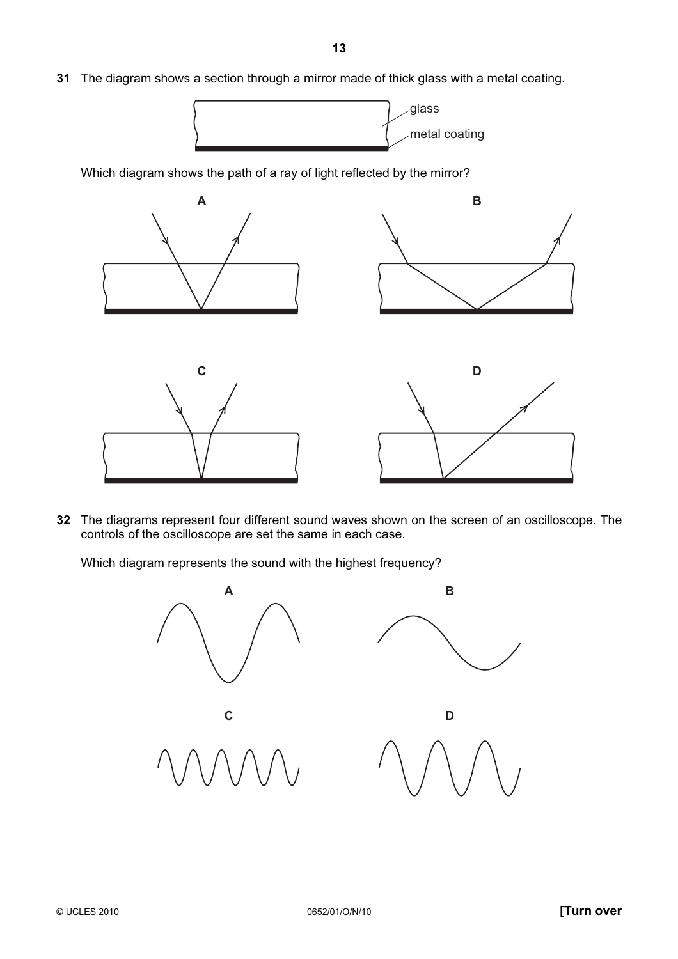

31 The diagram shows a section through a mirror made of thick glass with a metal coating.

32 The diagrams represent four different sound waves shown on the screen of an oscilloscope. The controls of the oscilloscope are set the same in each case.

Which diagram represents the sound with the highest frequency?

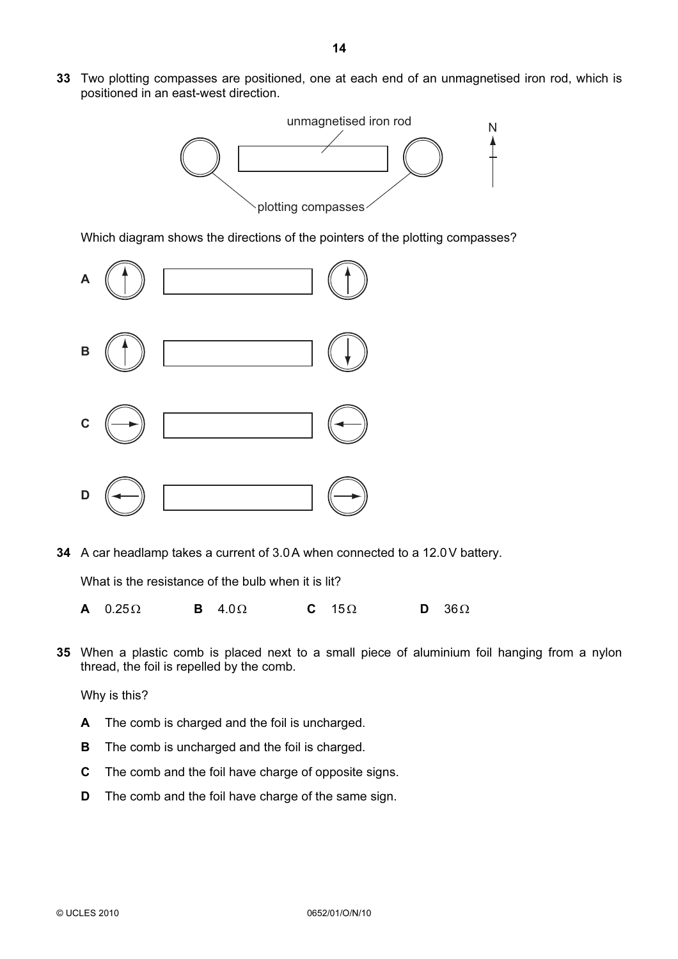33 Two plotting compasses are positioned, one at each end of an unmagnetised iron rod, which is positioned in an east-west direction.



Which diagram shows the directions of the pointers of the plotting compasses?



34 A car headlamp takes a current of 3.0A when connected to a 12.0V battery.

What is the resistance of the bulb when it is lit?

 $\overline{A}$  0.25Ω B 4.0Ω C 15Ω D 36Ω

35 When a plastic comb is placed next to a small piece of aluminium foil hanging from a nylon thread, the foil is repelled by the comb.

Why is this?

- A The comb is charged and the foil is uncharged.
- **B** The comb is uncharged and the foil is charged.
- C The comb and the foil have charge of opposite signs.
- **D** The comb and the foil have charge of the same sign.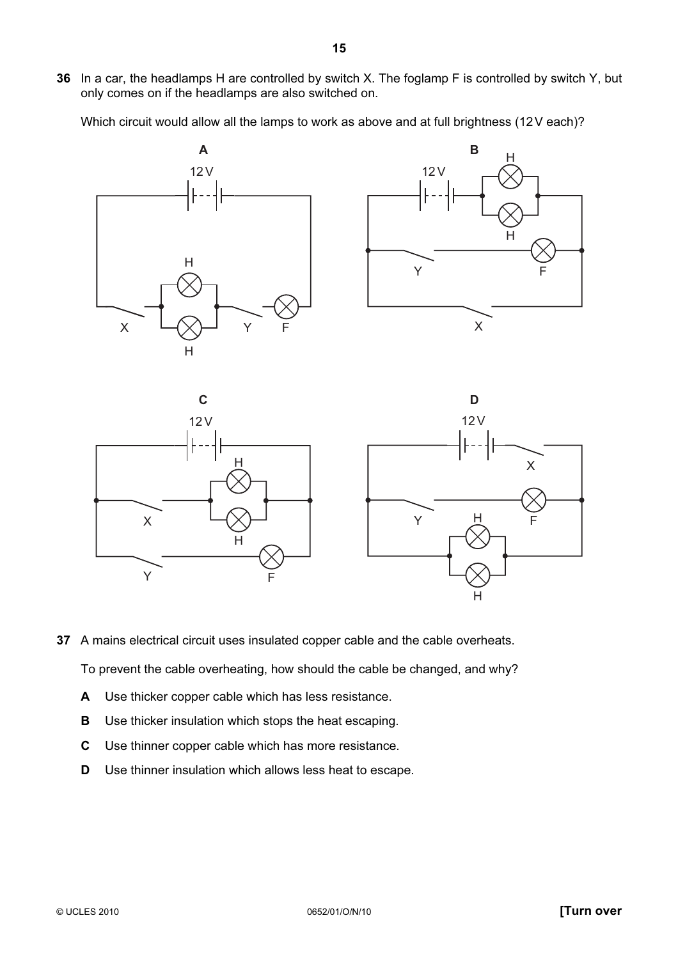36 In a car, the headlamps H are controlled by switch X. The foglamp F is controlled by switch Y, but only comes on if the headlamps are also switched on.

Which circuit would allow all the lamps to work as above and at full brightness (12V each)?



37 A mains electrical circuit uses insulated copper cable and the cable overheats.

To prevent the cable overheating, how should the cable be changed, and why?

- A Use thicker copper cable which has less resistance.
- **B** Use thicker insulation which stops the heat escaping.
- C Use thinner copper cable which has more resistance.
- D Use thinner insulation which allows less heat to escape.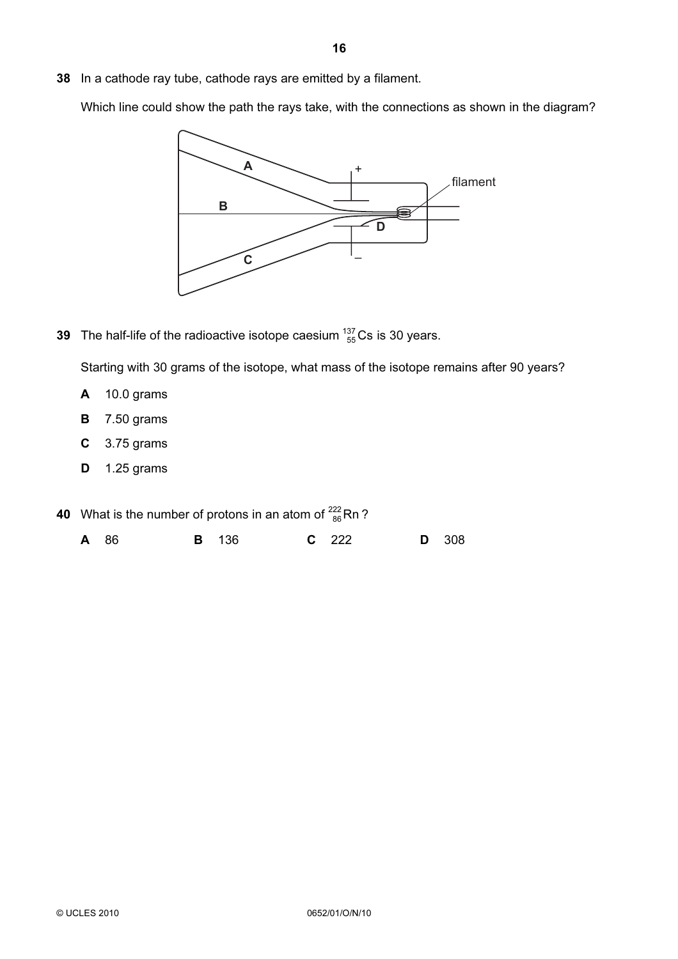38 In a cathode ray tube, cathode rays are emitted by a filament.

Which line could show the path the rays take, with the connections as shown in the diagram?



**39** The half-life of the radioactive isotope caesium  $^{137}_{55}$ Cs is 30 years.

Starting with 30 grams of the isotope, what mass of the isotope remains after 90 years?

- A 10.0 grams
- B 7.50 grams
- C 3.75 grams
- $D$  1.25 grams
- **40** What is the number of protons in an atom of  ${}^{222}_{86}$ Rn?
	- **A** 86 **B** 136 **C** 222 **D** 308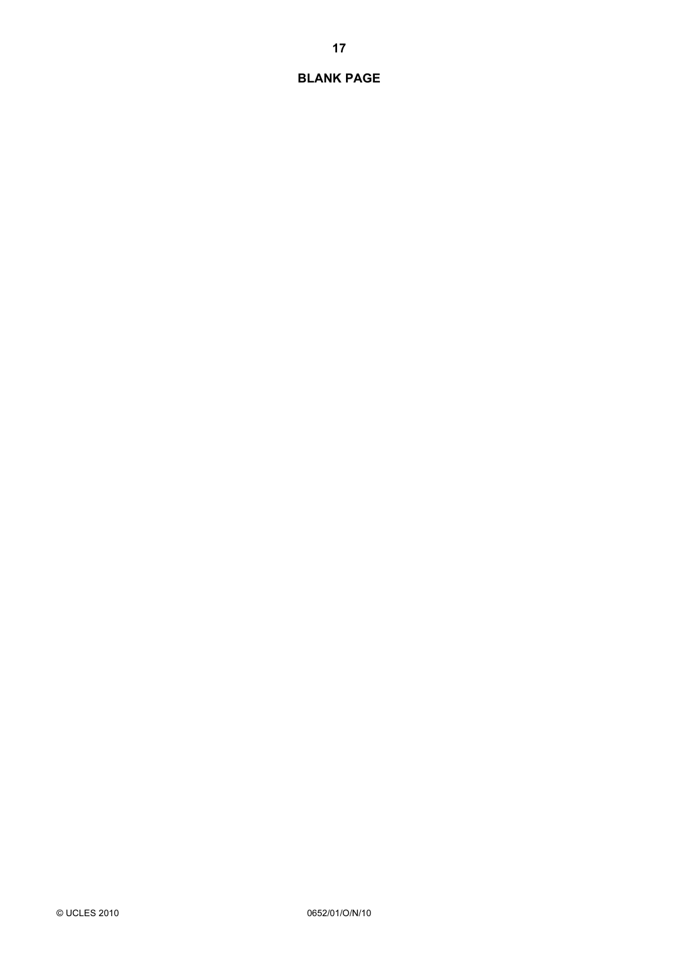## BLANK PAGE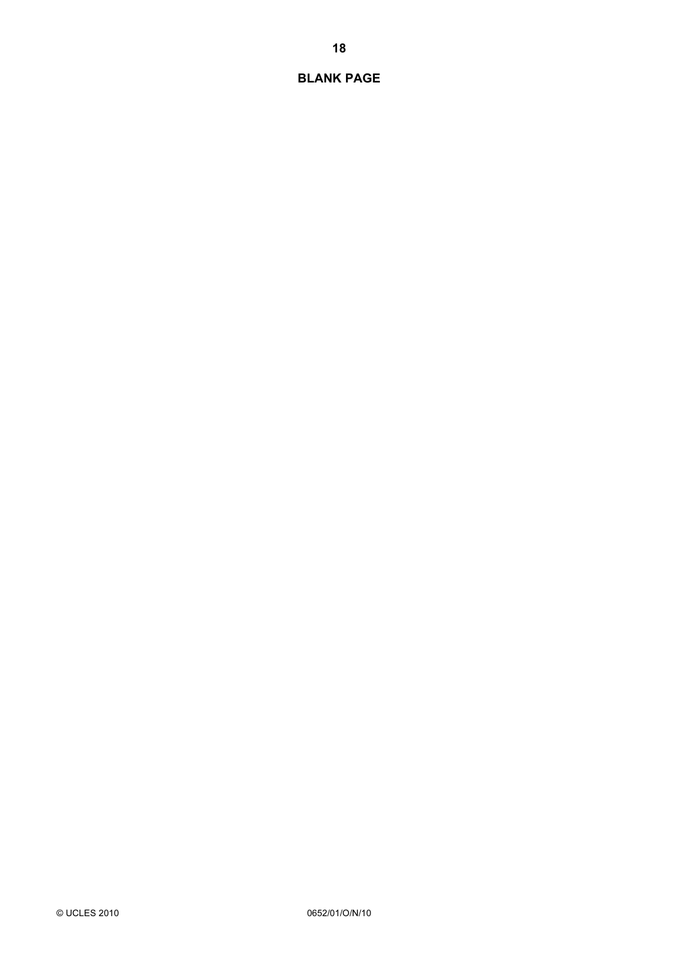## BLANK PAGE

18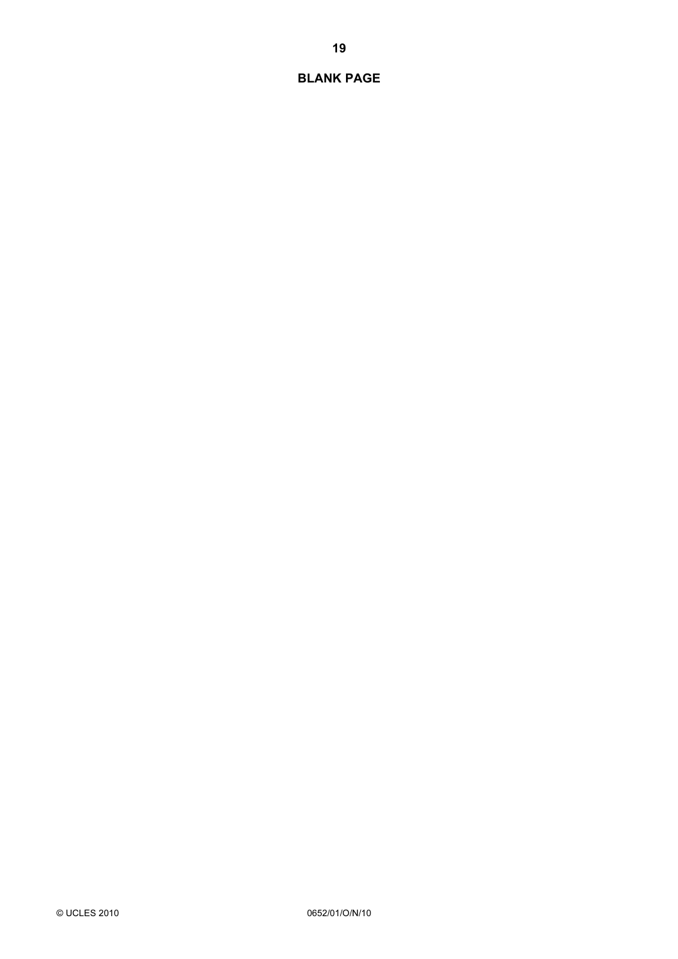## BLANK PAGE